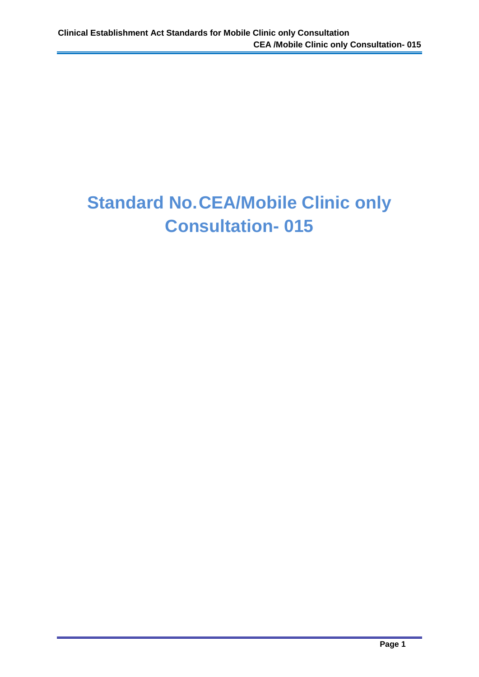# **Standard No.CEA/Mobile Clinic only Consultation- 015**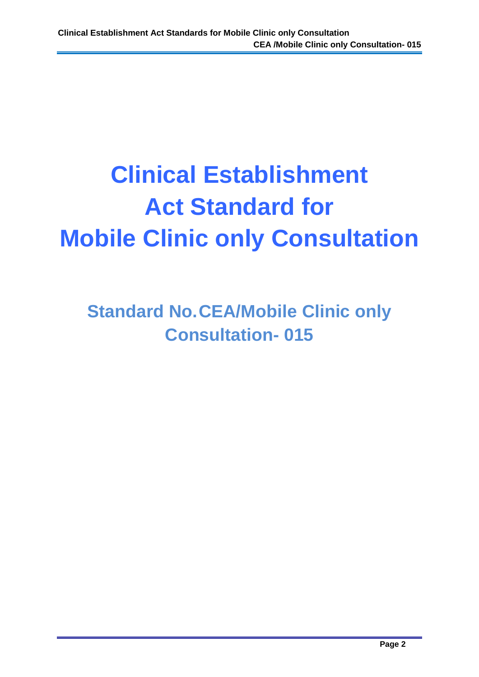# **Clinical Establishment Act Standard for Mobile Clinic only Consultation**

**Standard No.CEA/Mobile Clinic only Consultation- 015**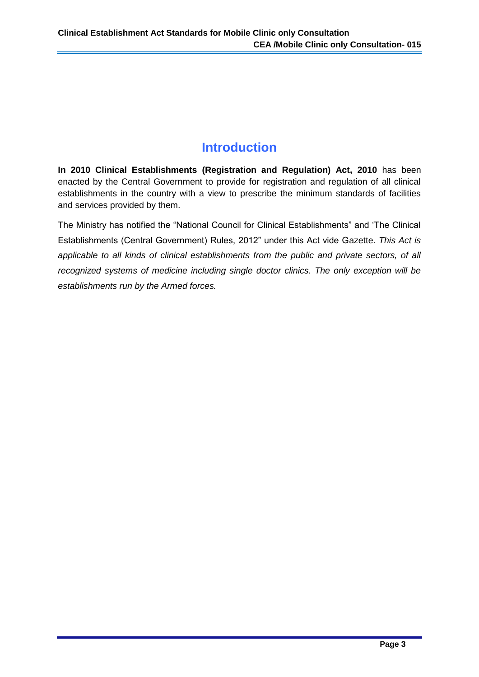# **Introduction**

**In 2010 Clinical Establishments (Registration and Regulation) Act, 2010** has been enacted by the Central Government to provide for registration and regulation of all clinical establishments in the country with a view to prescribe the minimum standards of facilities and services provided by them.

The Ministry has notified the "National Council for Clinical Establishments" and 'The Clinical Establishments (Central Government) Rules, 2012" under this Act vide Gazette. *This Act is applicable to all kinds of clinical establishments from the public and private sectors, of all recognized systems of medicine including single doctor clinics. The only exception will be establishments run by the Armed forces.*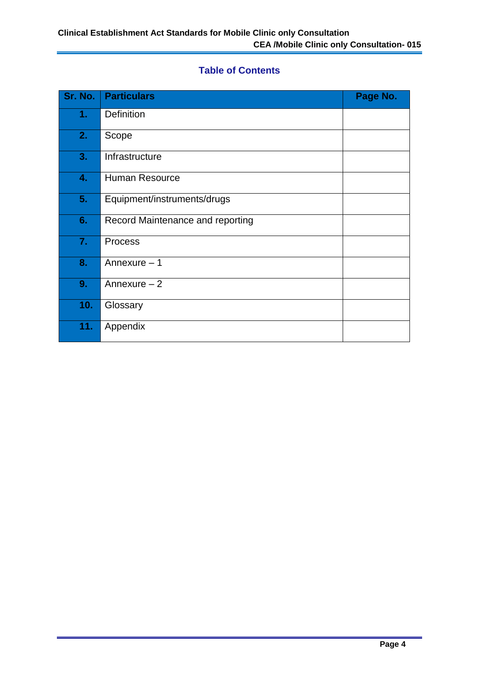#### **Table of Contents**

| Sr. No. | <b>Particulars</b>               | Page No. |
|---------|----------------------------------|----------|
| 1.      | <b>Definition</b>                |          |
| 2.      | Scope                            |          |
| 3.      | Infrastructure                   |          |
| 4.      | <b>Human Resource</b>            |          |
| 5.      | Equipment/instruments/drugs      |          |
| 6.      | Record Maintenance and reporting |          |
| 7.      | <b>Process</b>                   |          |
| 8.      | Annexure $-1$                    |          |
| 9.      | Annexure $-2$                    |          |
| 10.     | Glossary                         |          |
| 11.     | Appendix                         |          |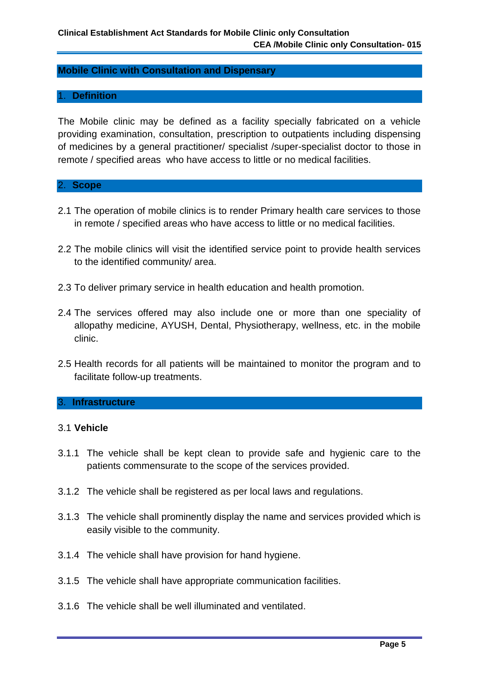#### **Mobile Clinic with Consultation and Dispensary**

#### 1. **Definition**

The Mobile clinic may be defined as a facility specially fabricated on a vehicle providing examination, consultation, prescription to outpatients including dispensing of medicines by a general practitioner/ specialist /super-specialist doctor to those in remote / specified areas who have access to little or no medical facilities.

#### 2. **Scope**

- 2.1 The operation of mobile clinics is to render Primary health care services to those in remote / specified areas who have access to little or no medical facilities.
- 2.2 The mobile clinics will visit the identified service point to provide health services to the identified community/ area.
- 2.3 To deliver primary service in health education and health promotion.
- 2.4 The services offered may also include one or more than one speciality of allopathy medicine, AYUSH, Dental, Physiotherapy, wellness, etc. in the mobile clinic.
- 2.5 Health records for all patients will be maintained to monitor the program and to facilitate follow-up treatments.

#### 3. **Infrastructure**

#### 3.1 **Vehicle**

- 3.1.1 The vehicle shall be kept clean to provide safe and hygienic care to the patients commensurate to the scope of the services provided.
- 3.1.2 The vehicle shall be registered as per local laws and regulations.
- 3.1.3 The vehicle shall prominently display the name and services provided which is easily visible to the community.
- 3.1.4 The vehicle shall have provision for hand hygiene.
- 3.1.5 The vehicle shall have appropriate communication facilities.
- 3.1.6 The vehicle shall be well illuminated and ventilated.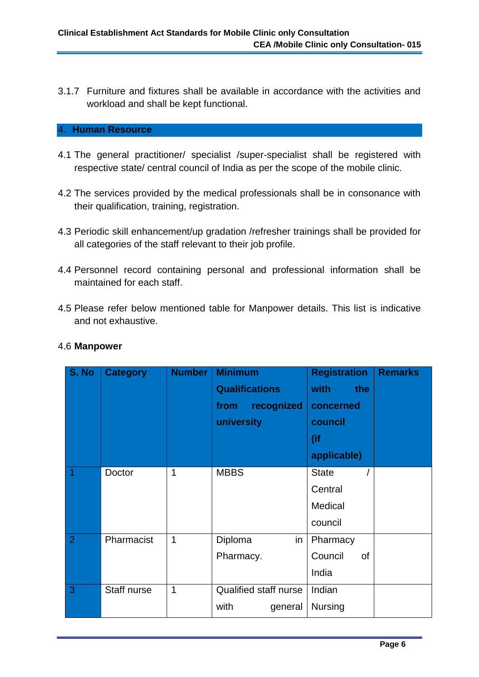3.1.7 Furniture and fixtures shall be available in accordance with the activities and workload and shall be kept functional.

#### 4. **Human Resource**

- 4.1 The general practitioner/ specialist /super-specialist shall be registered with respective state/ central council of India as per the scope of the mobile clinic.
- 4.2 The services provided by the medical professionals shall be in consonance with their qualification, training, registration.
- 4.3 Periodic skill enhancement/up gradation /refresher trainings shall be provided for all categories of the staff relevant to their job profile.
- 4.4 Personnel record containing personal and professional information shall be maintained for each staff.
- 4.5 Please refer below mentioned table for Manpower details. This list is indicative and not exhaustive.

| S. No          | <b>Category</b> | <b>Number</b> | <b>Minimum</b><br><b>Qualifications</b><br>recognized<br>from<br>university | <b>Registration</b><br>with<br>the<br>concerned<br>council<br>(if<br>applicable) | <b>Remarks</b> |
|----------------|-----------------|---------------|-----------------------------------------------------------------------------|----------------------------------------------------------------------------------|----------------|
| 1              | Doctor          | 1             | <b>MBBS</b>                                                                 | <b>State</b><br>Central<br>Medical<br>council                                    |                |
| $\overline{2}$ | Pharmacist      | 1             | Diploma<br>$\mathsf{in}$<br>Pharmacy.                                       | Pharmacy<br>Council<br>οf<br>India                                               |                |
| 3              | Staff nurse     | 1             | Qualified staff nurse<br>with<br>general                                    | Indian<br><b>Nursing</b>                                                         |                |

#### 4.6 **Manpower**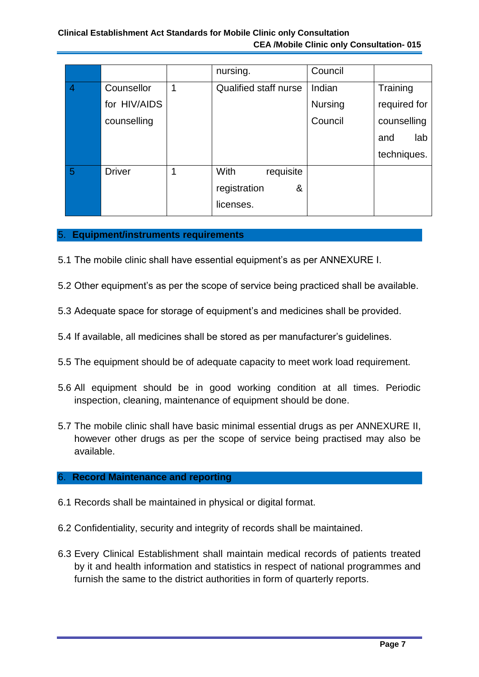#### **Clinical Establishment Act Standards for Mobile Clinic only Consultation CEA /Mobile Clinic only Consultation- 015**

|                |               |   | nursing.                     | Council        |              |
|----------------|---------------|---|------------------------------|----------------|--------------|
| $\overline{4}$ | Counsellor    | 1 | <b>Qualified staff nurse</b> | Indian         | Training     |
|                | for HIV/AIDS  |   |                              | <b>Nursing</b> | required for |
|                | counselling   |   |                              | Council        | counselling  |
|                |               |   |                              |                | lab<br>and   |
|                |               |   |                              |                | techniques.  |
| 5              | <b>Driver</b> | 1 | requisite<br>With            |                |              |
|                |               |   | registration<br>&            |                |              |
|                |               |   | licenses.                    |                |              |
|                |               |   |                              |                |              |

#### 5. **Equipment/instruments requirements**

- 5.1 The mobile clinic shall have essential equipment's as per ANNEXURE I.
- 5.2 Other equipment's as per the scope of service being practiced shall be available.
- 5.3 Adequate space for storage of equipment's and medicines shall be provided.
- 5.4 If available, all medicines shall be stored as per manufacturer's guidelines.
- 5.5 The equipment should be of adequate capacity to meet work load requirement.
- 5.6 All equipment should be in good working condition at all times. Periodic inspection, cleaning, maintenance of equipment should be done.
- 5.7 The mobile clinic shall have basic minimal essential drugs as per ANNEXURE II, however other drugs as per the scope of service being practised may also be available.

#### 6. **Record Maintenance and reporting**

- 6.1 Records shall be maintained in physical or digital format.
- 6.2 Confidentiality, security and integrity of records shall be maintained.
- 6.3 Every Clinical Establishment shall maintain medical records of patients treated by it and health information and statistics in respect of national programmes and furnish the same to the district authorities in form of quarterly reports.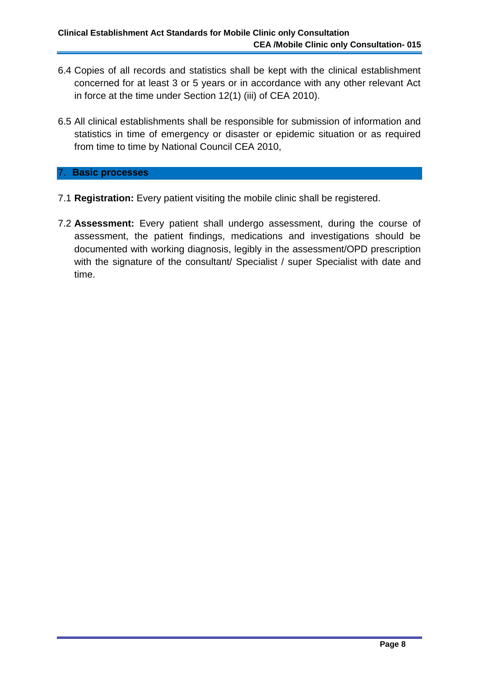- 6.4 Copies of all records and statistics shall be kept with the clinical establishment concerned for at least 3 or 5 years or in accordance with any other relevant Act in force at the time under Section 12(1) (iii) of CEA 2010).
- 6.5 All clinical establishments shall be responsible for submission of information and statistics in time of emergency or disaster or epidemic situation or as required from time to time by National Council CEA 2010,

#### 7. **Basic processes**

- 7.1 **Registration:** Every patient visiting the mobile clinic shall be registered.
- 7.2 **Assessment:** Every patient shall undergo assessment, during the course of assessment, the patient findings, medications and investigations should be documented with working diagnosis, legibly in the assessment/OPD prescription with the signature of the consultant/ Specialist / super Specialist with date and time.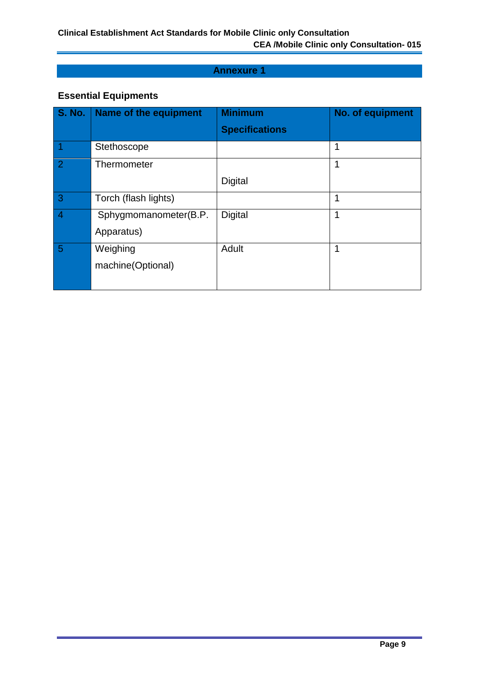#### **Annexure 1**

## **Essential Equipments**

| <b>S. No.</b>  | <b>Name of the equipment</b> | <b>Minimum</b>        | <b>No. of equipment</b> |
|----------------|------------------------------|-----------------------|-------------------------|
|                |                              | <b>Specifications</b> |                         |
| 1              | Stethoscope                  |                       | 1                       |
| 2              | Thermometer                  |                       | 1                       |
|                |                              | <b>Digital</b>        |                         |
| 3              | Torch (flash lights)         |                       | 1                       |
| $\overline{4}$ | Sphygmomanometer(B.P.        | Digital               | 1                       |
|                | Apparatus)                   |                       |                         |
| 5              | Weighing                     | Adult                 | 1                       |
|                | machine(Optional)            |                       |                         |
|                |                              |                       |                         |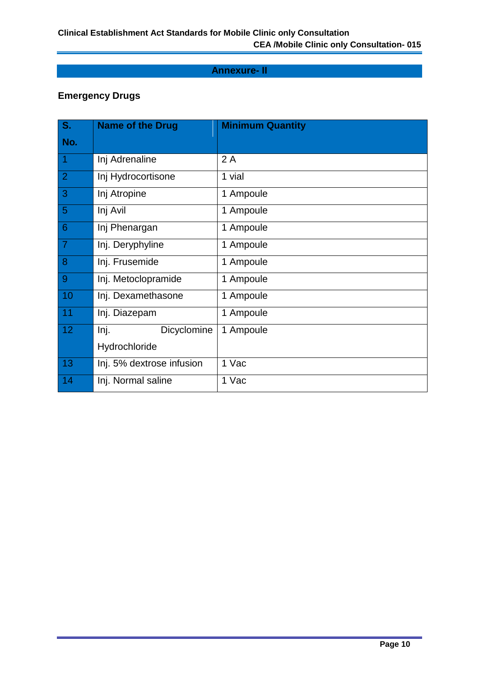#### **Annexure- II**

## **Emergency Drugs**

| S.             | <b>Name of the Drug</b>   | <b>Minimum Quantity</b> |
|----------------|---------------------------|-------------------------|
| No.            |                           |                         |
| $\overline{1}$ | Inj Adrenaline            | 2A                      |
| $\mathbf{2}$   | Inj Hydrocortisone        | 1 vial                  |
| 3              | Inj Atropine              | 1 Ampoule               |
| $\overline{5}$ | Inj Avil                  | 1 Ampoule               |
| 6              | Inj Phenargan             | 1 Ampoule               |
| $\overline{7}$ | Inj. Deryphyline          | 1 Ampoule               |
| 8              | Inj. Frusemide            | 1 Ampoule               |
| 9              | Inj. Metoclopramide       | 1 Ampoule               |
| 10             | Inj. Dexamethasone        | 1 Ampoule               |
| 11             | Inj. Diazepam             | 1 Ampoule               |
| 12             | Dicyclomine<br>Inj.       | 1 Ampoule               |
|                | Hydrochloride             |                         |
| 13             | Inj. 5% dextrose infusion | 1 Vac                   |
| 14             | Inj. Normal saline        | 1 Vac                   |